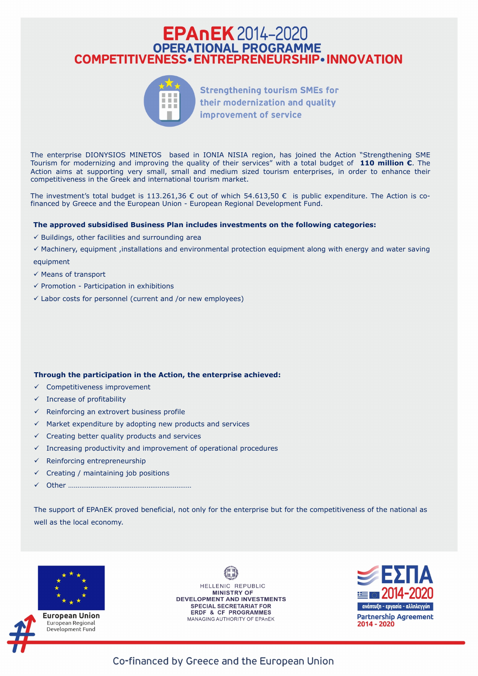## **EPAnEK** 2014-2020 **OPERATIONAL PROGRAMME COMPETITIVENESS · ENTREPRENEURSHIP · INNOVATION**



**Strengthening tourism SMEs for** their modernization and quality improvement of service

The enterprise DIONYSIOS MINETOS based in IONIΑ NISΙΑ region, has joined the Action "Strengthening SME Tourism for modernizing and improving the quality of their services" with a total budget of **110 million €**. The Action aims at supporting very small, small and medium sized tourism enterprises, in order to enhance their competitiveness in the Greek and international tourism market.

The investment's total budget is 113.261,36  $\epsilon$  out of which 54.613,50  $\epsilon$  is public expenditure. The Action is cofinanced by Greece and the European Union - European Regional Development Fund.

## **The approved subsidised Business Plan includes investments on the following categories:**

- $\checkmark$  Buildings, other facilities and surrounding area
- $\checkmark$  Machinery, equipment ,installations and environmental protection equipment along with energy and water saving equipment
- $\checkmark$  Means of transport
- $\checkmark$  Promotion Participation in exhibitions
- $\checkmark$  Labor costs for personnel (current and /or new employees)

- $\checkmark$  Competitiveness improvement
- $\checkmark$  Increase of profitability
- $\checkmark$  Reinforcing an extrovert business profile
- $\checkmark$  Market expenditure by adopting new products and services
- $\checkmark$  Creating better quality products and services
- $\checkmark$  Increasing productivity and improvement of operational procedures
- $\checkmark$  Reinforcing entrepreneurship
- $\checkmark$  Creating / maintaining job positions
- ü Other …………………………………………………………

## **Through the participation in the Action, the enterprise achieved:**

The support of EPAnEK proved beneficial, not only for the enterprise but for the competitiveness of the national as

well as the local economy.





European Union European Regional Development Fund

HELLENIC REPUBLIC **MINISTRY OF DEVELOPMENT AND INVESTMENTS SPECIAL SECRETARIAT FOR ERDF & CF PROGRAMMES MANAGING AUTHORITY OF EPAnEK** 



Co-financed by Greece and the European Union